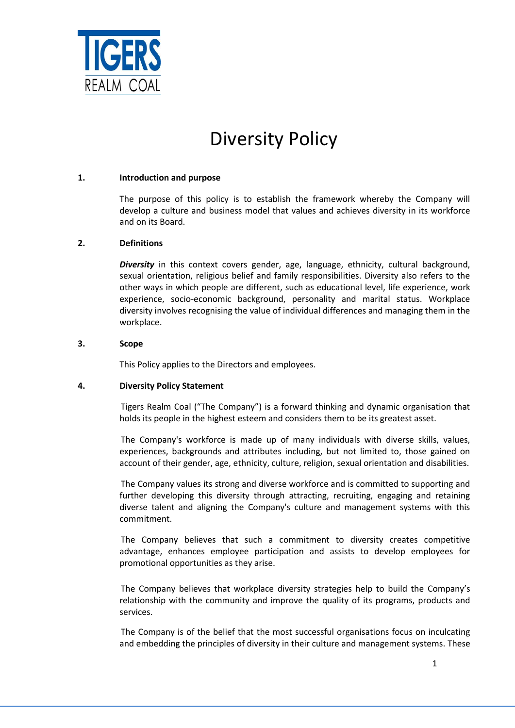

# Diversity Policy

## **1. Introduction and purpose**

The purpose of this policy is to establish the framework whereby the Company will develop a culture and business model that values and achieves diversity in its workforce and on its Board.

## **2. Definitions**

*Diversity* in this context covers gender, age, language, ethnicity, cultural background, sexual orientation, religious belief and family responsibilities. Diversity also refers to the other ways in which people are different, such as educational level, life experience, work experience, socio-economic background, personality and marital status. Workplace diversity involves recognising the value of individual differences and managing them in the workplace.

## **3. Scope**

This Policy applies to the Directors and employees.

## **4. Diversity Policy Statement**

Tigers Realm Coal ("The Company") is a forward thinking and dynamic organisation that holds its people in the highest esteem and considers them to be its greatest asset.

The Company's workforce is made up of many individuals with diverse skills, values, experiences, backgrounds and attributes including, but not limited to, those gained on account of their gender, age, ethnicity, culture, religion, sexual orientation and disabilities.

The Company values its strong and diverse workforce and is committed to supporting and further developing this diversity through attracting, recruiting, engaging and retaining diverse talent and aligning the Company's culture and management systems with this commitment.

The Company believes that such a commitment to diversity creates competitive advantage, enhances employee participation and assists to develop employees for promotional opportunities as they arise.

The Company believes that workplace diversity strategies help to build the Company's relationship with the community and improve the quality of its programs, products and services.

The Company is of the belief that the most successful organisations focus on inculcating and embedding the principles of diversity in their culture and management systems. These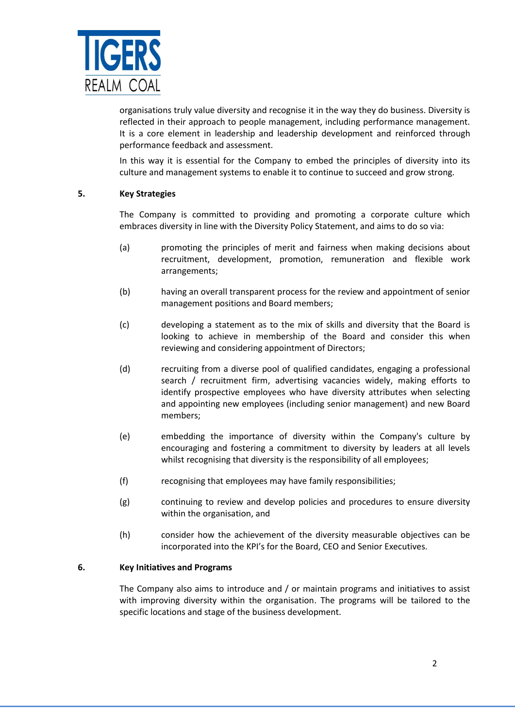

organisations truly value diversity and recognise it in the way they do business. Diversity is reflected in their approach to people management, including performance management. It is a core element in leadership and leadership development and reinforced through performance feedback and assessment.

In this way it is essential for the Company to embed the principles of diversity into its culture and management systems to enable it to continue to succeed and grow strong.

## **5. Key Strategies**

The Company is committed to providing and promoting a corporate culture which embraces diversity in line with the Diversity Policy Statement, and aims to do so via:

- (a) promoting the principles of merit and fairness when making decisions about recruitment, development, promotion, remuneration and flexible work arrangements;
- (b) having an overall transparent process for the review and appointment of senior management positions and Board members;
- (c) developing a statement as to the mix of skills and diversity that the Board is looking to achieve in membership of the Board and consider this when reviewing and considering appointment of Directors;
- (d) recruiting from a diverse pool of qualified candidates, engaging a professional search / recruitment firm, advertising vacancies widely, making efforts to identify prospective employees who have diversity attributes when selecting and appointing new employees (including senior management) and new Board members;
- (e) embedding the importance of diversity within the Company's culture by encouraging and fostering a commitment to diversity by leaders at all levels whilst recognising that diversity is the responsibility of all employees;
- (f) recognising that employees may have family responsibilities;
- (g) continuing to review and develop policies and procedures to ensure diversity within the organisation, and
- (h) consider how the achievement of the diversity measurable objectives can be incorporated into the KPI's for the Board, CEO and Senior Executives.

## **6. Key Initiatives and Programs**

The Company also aims to introduce and / or maintain programs and initiatives to assist with improving diversity within the organisation. The programs will be tailored to the specific locations and stage of the business development.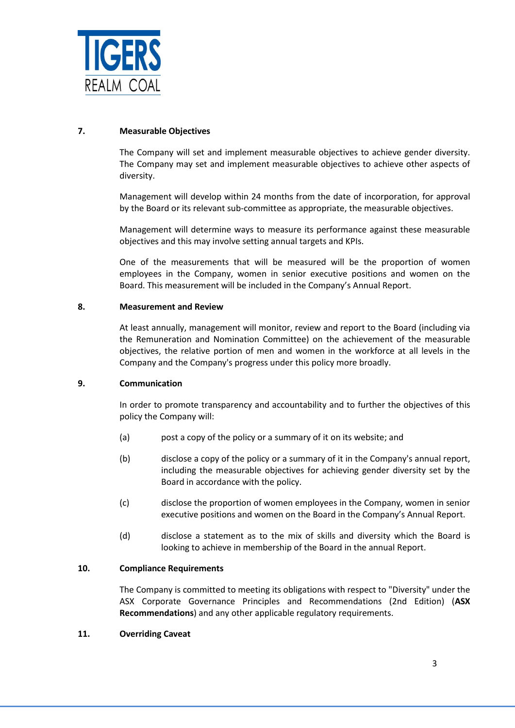

## **7. Measurable Objectives**

The Company will set and implement measurable objectives to achieve gender diversity. The Company may set and implement measurable objectives to achieve other aspects of diversity.

Management will develop within 24 months from the date of incorporation, for approval by the Board or its relevant sub-committee as appropriate, the measurable objectives.

Management will determine ways to measure its performance against these measurable objectives and this may involve setting annual targets and KPIs.

One of the measurements that will be measured will be the proportion of women employees in the Company, women in senior executive positions and women on the Board. This measurement will be included in the Company's Annual Report.

## **8. Measurement and Review**

At least annually, management will monitor, review and report to the Board (including via the Remuneration and Nomination Committee) on the achievement of the measurable objectives, the relative portion of men and women in the workforce at all levels in the Company and the Company's progress under this policy more broadly.

## **9. Communication**

In order to promote transparency and accountability and to further the objectives of this policy the Company will:

- (a) post a copy of the policy or a summary of it on its website; and
- (b) disclose a copy of the policy or a summary of it in the Company's annual report, including the measurable objectives for achieving gender diversity set by the Board in accordance with the policy.
- (c) disclose the proportion of women employees in the Company, women in senior executive positions and women on the Board in the Company's Annual Report.
- (d) disclose a statement as to the mix of skills and diversity which the Board is looking to achieve in membership of the Board in the annual Report.

## **10. Compliance Requirements**

The Company is committed to meeting its obligations with respect to "Diversity" under the ASX Corporate Governance Principles and Recommendations (2nd Edition) (**ASX Recommendations**) and any other applicable regulatory requirements.

## **11. Overriding Caveat**